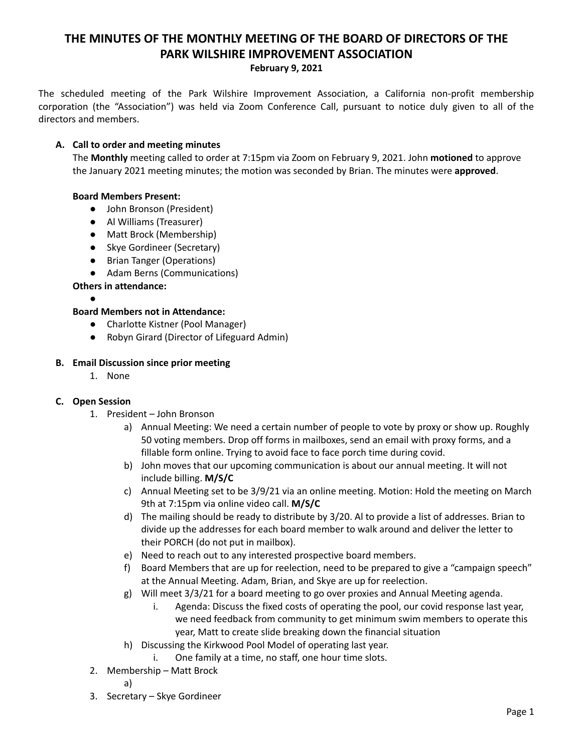# **THE MINUTES OF THE MONTHLY MEETING OF THE BOARD OF DIRECTORS OF THE PARK WILSHIRE IMPROVEMENT ASSOCIATION**

**February 9, 2021**

The scheduled meeting of the Park Wilshire Improvement Association, a California non-profit membership corporation (the "Association") was held via Zoom Conference Call, pursuant to notice duly given to all of the directors and members.

## **A. Call to order and meeting minutes**

The **Monthly** meeting called to order at 7:15pm via Zoom on February 9, 2021. John **motioned** to approve the January 2021 meeting minutes; the motion was seconded by Brian. The minutes were **approved**.

## **Board Members Present:**

- John Bronson (President)
- **●** Al Williams (Treasurer)
- Matt Brock (Membership)
- Skye Gordineer (Secretary)
- Brian Tanger (Operations)
- Adam Berns (Communications)

## **Others in attendance:**

●

#### **Board Members not in Attendance:**

- Charlotte Kistner (Pool Manager)
- Robyn Girard (Director of Lifeguard Admin)

#### **B. Email Discussion since prior meeting**

1. None

#### **C. Open Session**

- 1. President John Bronson
	- a) Annual Meeting: We need a certain number of people to vote by proxy or show up. Roughly 50 voting members. Drop off forms in mailboxes, send an email with proxy forms, and a fillable form online. Trying to avoid face to face porch time during covid.
	- b) John moves that our upcoming communication is about our annual meeting. It will not include billing. **M/S/C**
	- c) Annual Meeting set to be 3/9/21 via an online meeting. Motion: Hold the meeting on March 9th at 7:15pm via online video call. **M/S/C**
	- d) The mailing should be ready to distribute by 3/20. Al to provide a list of addresses. Brian to divide up the addresses for each board member to walk around and deliver the letter to their PORCH (do not put in mailbox).
	- e) Need to reach out to any interested prospective board members.
	- f) Board Members that are up for reelection, need to be prepared to give a "campaign speech" at the Annual Meeting. Adam, Brian, and Skye are up for reelection.
	- g) Will meet 3/3/21 for a board meeting to go over proxies and Annual Meeting agenda.
		- i. Agenda: Discuss the fixed costs of operating the pool, our covid response last year, we need feedback from community to get minimum swim members to operate this year, Matt to create slide breaking down the financial situation
	- h) Discussing the Kirkwood Pool Model of operating last year.
		- i. One family at a time, no staff, one hour time slots.
- 2. Membership Matt Brock
	- a)
- 3. Secretary Skye Gordineer